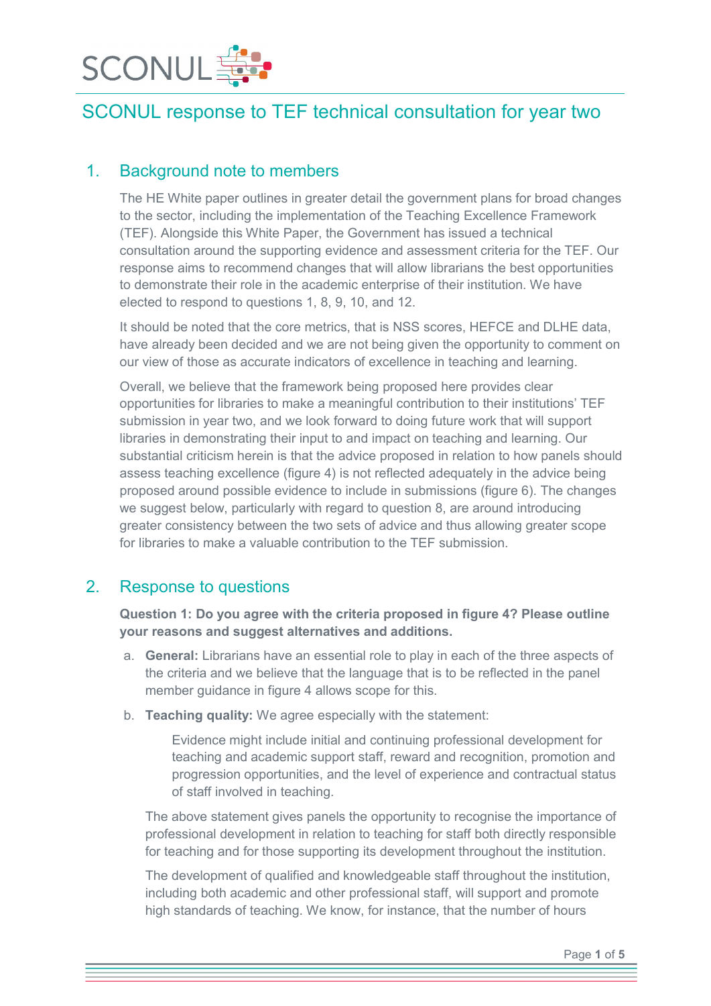

#### 1. Background note to members

The HE White paper outlines in greater detail the government plans for broad changes to the sector, including the implementation of the Teaching Excellence Framework (TEF). Alongside this White Paper, the Government has issued a technical consultation around the supporting evidence and assessment criteria for the TEF. Our response aims to recommend changes that will allow librarians the best opportunities to demonstrate their role in the academic enterprise of their institution. We have elected to respond to questions 1, 8, 9, 10, and 12.

It should be noted that the core metrics, that is NSS scores, HEFCE and DLHE data, have already been decided and we are not being given the opportunity to comment on our view of those as accurate indicators of excellence in teaching and learning.

Overall, we believe that the framework being proposed here provides clear opportunities for libraries to make a meaningful contribution to their institutions' TEF submission in year two, and we look forward to doing future work that will support libraries in demonstrating their input to and impact on teaching and learning. Our substantial criticism herein is that the advice proposed in relation to how panels should assess teaching excellence (figure 4) is not reflected adequately in the advice being proposed around possible evidence to include in submissions (figure 6). The changes we suggest below, particularly with regard to question 8, are around introducing greater consistency between the two sets of advice and thus allowing greater scope for libraries to make a valuable contribution to the TEF submission.

#### 2. Response to questions

#### Question 1: Do you agree with the criteria proposed in figure 4? Please outline your reasons and suggest alternatives and additions.

- a. General: Librarians have an essential role to play in each of the three aspects of the criteria and we believe that the language that is to be reflected in the panel member guidance in figure 4 allows scope for this.
- b. Teaching quality: We agree especially with the statement:

Evidence might include initial and continuing professional development for teaching and academic support staff, reward and recognition, promotion and progression opportunities, and the level of experience and contractual status of staff involved in teaching.

The above statement gives panels the opportunity to recognise the importance of professional development in relation to teaching for staff both directly responsible for teaching and for those supporting its development throughout the institution.

The development of qualified and knowledgeable staff throughout the institution, including both academic and other professional staff, will support and promote high standards of teaching. We know, for instance, that the number of hours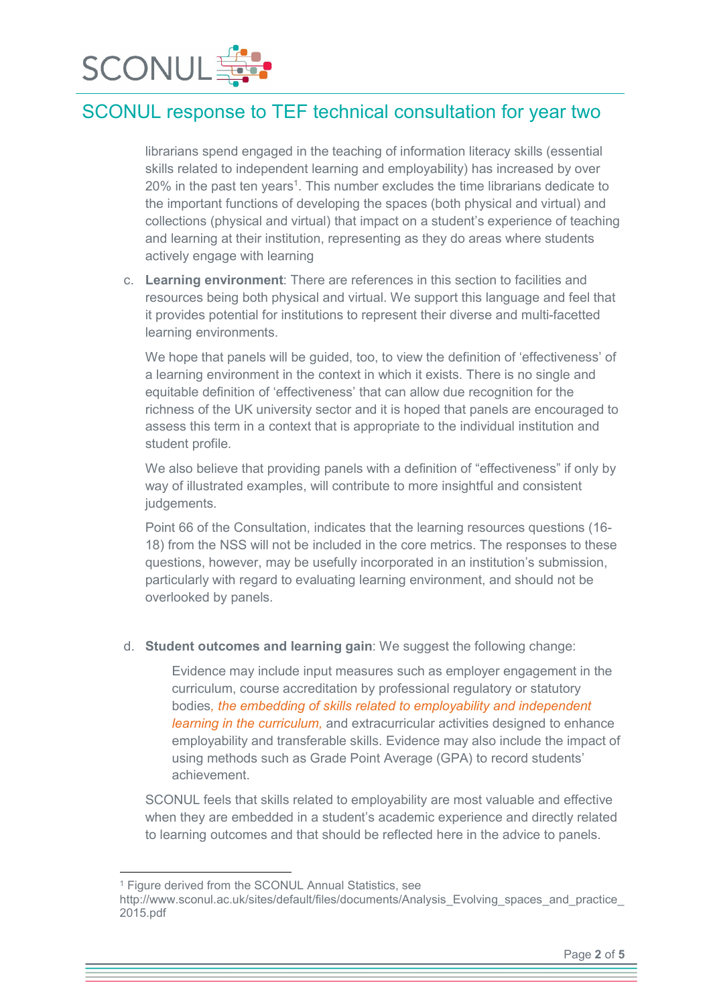

librarians spend engaged in the teaching of information literacy skills (essential skills related to independent learning and employability) has increased by over 20% in the past ten years<sup>1</sup>. This number excludes the time librarians dedicate to the important functions of developing the spaces (both physical and virtual) and collections (physical and virtual) that impact on a student's experience of teaching and learning at their institution, representing as they do areas where students actively engage with learning

c. Learning environment: There are references in this section to facilities and resources being both physical and virtual. We support this language and feel that it provides potential for institutions to represent their diverse and multi-facetted learning environments.

We hope that panels will be guided, too, to view the definition of 'effectiveness' of a learning environment in the context in which it exists. There is no single and equitable definition of 'effectiveness' that can allow due recognition for the richness of the UK university sector and it is hoped that panels are encouraged to assess this term in a context that is appropriate to the individual institution and student profile.

We also believe that providing panels with a definition of "effectiveness" if only by way of illustrated examples, will contribute to more insightful and consistent judgements.

Point 66 of the Consultation, indicates that the learning resources questions (16- 18) from the NSS will not be included in the core metrics. The responses to these questions, however, may be usefully incorporated in an institution's submission, particularly with regard to evaluating learning environment, and should not be overlooked by panels.

d. Student outcomes and learning gain: We suggest the following change:

Evidence may include input measures such as employer engagement in the curriculum, course accreditation by professional regulatory or statutory bodies*, the embedding of skills related to employability and independent learning in the curriculum,* and extracurricular activities designed to enhance employability and transferable skills. Evidence may also include the impact of using methods such as Grade Point Average (GPA) to record students' achievement.

SCONUL feels that skills related to employability are most valuable and effective when they are embedded in a student's academic experience and directly related to learning outcomes and that should be reflected here in the advice to panels.

1

http://www.sconul.ac.uk/sites/default/files/documents/Analysis\_Evolving\_spaces\_and\_practice 2015.pdf

<sup>1</sup> Figure derived from the SCONUL Annual Statistics, see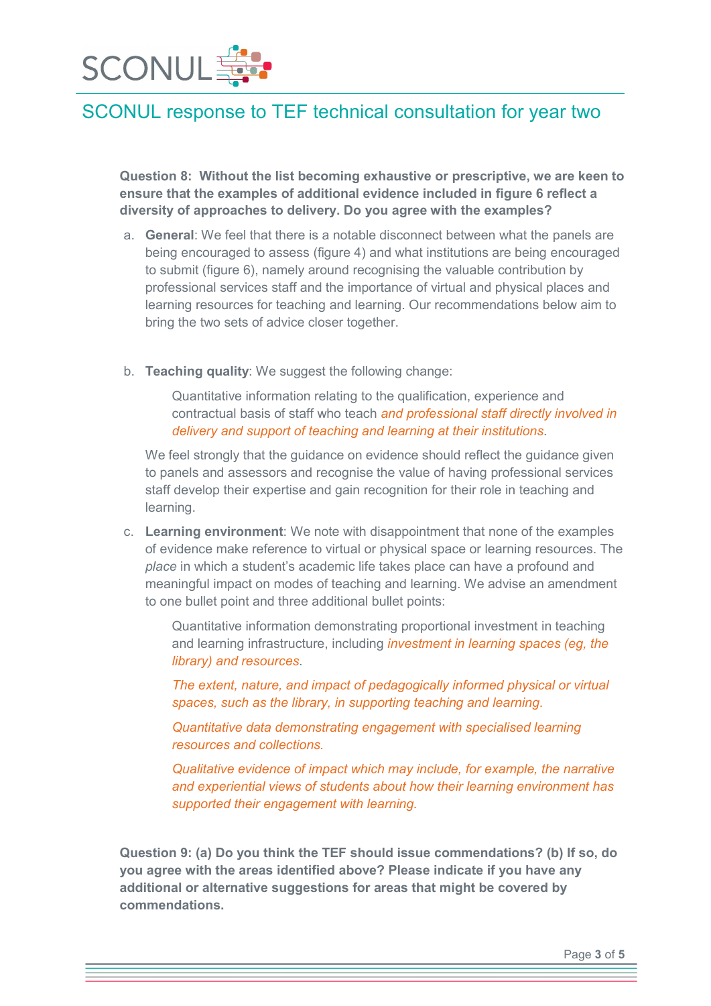

Question 8: Without the list becoming exhaustive or prescriptive, we are keen to ensure that the examples of additional evidence included in figure 6 reflect a diversity of approaches to delivery. Do you agree with the examples?

- a. General: We feel that there is a notable disconnect between what the panels are being encouraged to assess (figure 4) and what institutions are being encouraged to submit (figure 6), namely around recognising the valuable contribution by professional services staff and the importance of virtual and physical places and learning resources for teaching and learning. Our recommendations below aim to bring the two sets of advice closer together.
- b. Teaching quality: We suggest the following change:

Quantitative information relating to the qualification, experience and contractual basis of staff who teach *and professional staff directly involved in delivery and support of teaching and learning at their institutions*.

We feel strongly that the guidance on evidence should reflect the guidance given to panels and assessors and recognise the value of having professional services staff develop their expertise and gain recognition for their role in teaching and learning.

c. Learning environment: We note with disappointment that none of the examples of evidence make reference to virtual or physical space or learning resources. The *place* in which a student's academic life takes place can have a profound and meaningful impact on modes of teaching and learning. We advise an amendment to one bullet point and three additional bullet points:

Quantitative information demonstrating proportional investment in teaching and learning infrastructure, including *investment in learning spaces (eg, the library) and resources*.

*The extent, nature, and impact of pedagogically informed physical or virtual spaces, such as the library, in supporting teaching and learning*.

*Quantitative data demonstrating engagement with specialised learning resources and collections.* 

*Qualitative evidence of impact which may include, for example, the narrative and experiential views of students about how their learning environment has supported their engagement with learning.*

Question 9: (a) Do you think the TEF should issue commendations? (b) If so, do you agree with the areas identified above? Please indicate if you have any additional or alternative suggestions for areas that might be covered by commendations.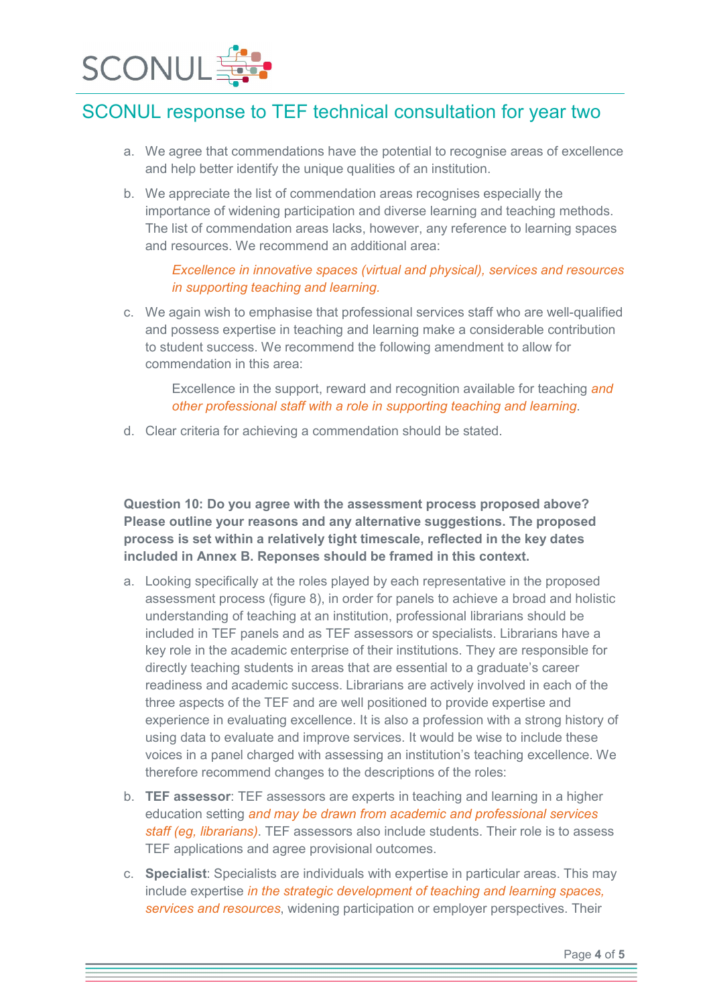

- a. We agree that commendations have the potential to recognise areas of excellence and help better identify the unique qualities of an institution.
- b. We appreciate the list of commendation areas recognises especially the importance of widening participation and diverse learning and teaching methods. The list of commendation areas lacks, however, any reference to learning spaces and resources. We recommend an additional area:

#### *Excellence in innovative spaces (virtual and physical), services and resources in supporting teaching and learning.*

c. We again wish to emphasise that professional services staff who are well-qualified and possess expertise in teaching and learning make a considerable contribution to student success. We recommend the following amendment to allow for commendation in this area:

Excellence in the support, reward and recognition available for teaching *and other professional staff with a role in supporting teaching and learning*.

d. Clear criteria for achieving a commendation should be stated.

Question 10: Do you agree with the assessment process proposed above? Please outline your reasons and any alternative suggestions. The proposed process is set within a relatively tight timescale, reflected in the key dates included in Annex B. Reponses should be framed in this context.

- a. Looking specifically at the roles played by each representative in the proposed assessment process (figure 8), in order for panels to achieve a broad and holistic understanding of teaching at an institution, professional librarians should be included in TEF panels and as TEF assessors or specialists. Librarians have a key role in the academic enterprise of their institutions. They are responsible for directly teaching students in areas that are essential to a graduate's career readiness and academic success. Librarians are actively involved in each of the three aspects of the TEF and are well positioned to provide expertise and experience in evaluating excellence. It is also a profession with a strong history of using data to evaluate and improve services. It would be wise to include these voices in a panel charged with assessing an institution's teaching excellence. We therefore recommend changes to the descriptions of the roles:
- b. TEF assessor: TEF assessors are experts in teaching and learning in a higher education setting *and may be drawn from academic and professional services staff (eg, librarians)*. TEF assessors also include students. Their role is to assess TEF applications and agree provisional outcomes.
- c. Specialist: Specialists are individuals with expertise in particular areas. This may include expertise *in the strategic development of teaching and learning spaces, services and resources*, widening participation or employer perspectives. Their